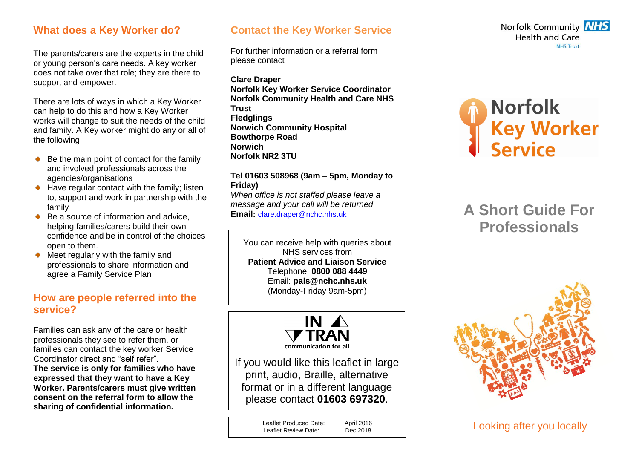### **What does a Key Worker do?**

The parents/carers are the experts in the child or young person's care needs. A key worker does not take over that role; they are there to support and empower.

There are lots of ways in which a Key Worker can help to do this and how a Key Worker works will change to suit the needs of the child and family. A Key worker might do any or all of the following:

- $\bullet$  Be the main point of contact for the family and involved professionals across the agencies/organisations
- $\bullet$  Have regular contact with the family; listen to, support and work in partnership with the family
- Be a source of information and advice, helping families/carers build their own confidence and be in control of the choices open to them.
- Meet regularly with the family and professionals to share information and agree a Family Service Plan

## **How are people referred into the service?**

Families can ask any of the care or health professionals they see to refer them, or families can contact the key worker Service Coordinator direct and "self refer".

**The service is only for families who have expressed that they want to have a Key Worker. Parents/carers must give written consent on the referral form to allow the sharing of confidential information.** 

### **Contact the Key Worker Service**

For further information or a referral form please contact

**Clare Draper Norfolk Key Worker Service Coordinator Norfolk Community Health and Care NHS Trust Fledglings Norwich Community Hospital Bowthorpe Road Norwich Norfolk NR2 3TU** 

#### **Tel 01603 508968 (9am – 5pm, Monday to Friday)**

*When office is not staffed please leave a message and your call will be returned* **Email:** [clare.draper@nchc.nhs.uk](mailto:clare.draper@nchc.nhs.uk)

You can receive help with queries about NHS services from **Patient Advice and Liaison Service** Telephone: **0800 088 4449** Email: **pals@nchc.nhs.uk** (Monday-Friday 9am-5pm)



If you would like this leaflet in large print, audio, Braille, alternative format or in a different language please contact **01603 697320**.

> Leaflet Produced Date: April 2016<br>
> Leaflet Review Date: Dec 2018 Leaflet Review Date:





# **A Short Guide For Professionals**



Looking after you locally